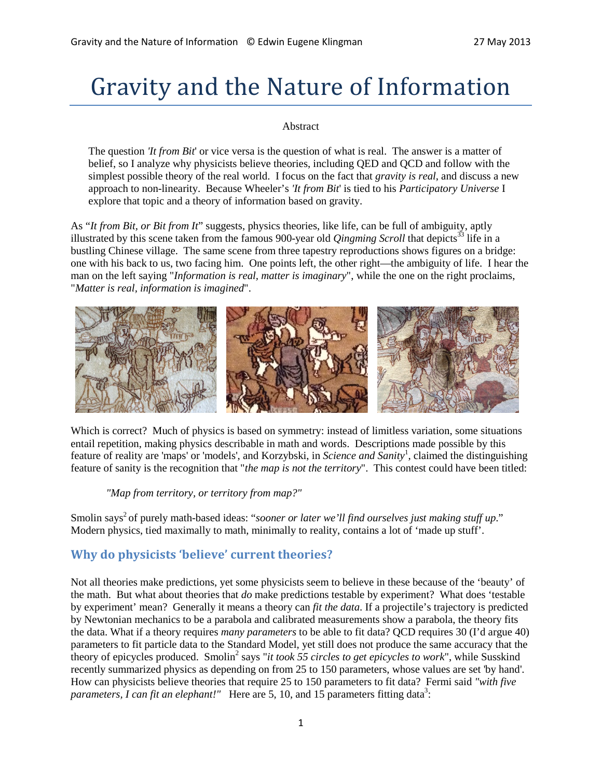# Gravity and the Nature of Information

#### Abstract

The question *'It from Bit*' or vice versa is the question of what is real. The answer is a matter of belief, so I analyze why physicists believe theories, including QED and QCD and follow with the simplest possible theory of the real world. I focus on the fact that *gravity is real*, and discuss a new approach to non-linearity. Because Wheeler's *'It from Bit*' is tied to his *Participatory Universe* I explore that topic and a theory of information based on gravity.

As "*It from Bit, or Bit from It*" suggests, physics theories, like life, can be full of ambiguity, aptly illustrated by this scene taken from the famous 900-year old *Qingming Scroll* that depicts <sup>33</sup> life in a bustling Chinese village. The same scene from three tapestry reproductions shows figures on a bridge: one with his back to us, two facing him. One points left, the other right—the ambiguity of life. I hear the man on the left saying "*Information is real, matter is imaginary*", while the one on the right proclaims, "*Matter is real, information is imagined*".



Which is correct? Much of physics is based on symmetry: instead of limitless variation, some situations entail repetition, making physics describable in math and words. Descriptions made possible by this feature of reality are 'maps' or 'models', and Korzybski, in *Science and Sanity*<sup>1</sup>, claimed the distinguishing feature of sanity is the recognition that "*the map is not the territory*". This contest could have been titled:

*"Map from territory, or territory from map?"*

Smolin says<sup>2</sup> of purely math-based ideas: "*sooner or later we'll find ourselves just making stuff up*." Modern physics, tied maximally to math, minimally to reality, contains a lot of 'made up stuff'.

# **Why do physicists 'believe' current theories?**

Not all theories make predictions, yet some physicists seem to believe in these because of the 'beauty' of the math. But what about theories that *do* make predictions testable by experiment? What does 'testable by experiment' mean? Generally it means a theory can *fit the data*. If a projectile's trajectory is predicted by Newtonian mechanics to be a parabola and calibrated measurements show a parabola, the theory fits the data. What if a theory requires *many parameters* to be able to fit data? QCD requires 30 (I'd argue 40) parameters to fit particle data to the Standard Model, yet still does not produce the same accuracy that the theory of epicycles produced. Smolin<sup>2</sup> says "*it took 55 circles to get epicycles to work*", while Susskind recently summarized physics as depending on from 25 to 150 parameters, whose values are set 'by hand'. How can physicists believe theories that require 25 to 150 parameters to fit data? Fermi said *"with five parameters, I can fit an elephant!"* Here are 5, 10, and 15 parameters fitting data<sup>3</sup>: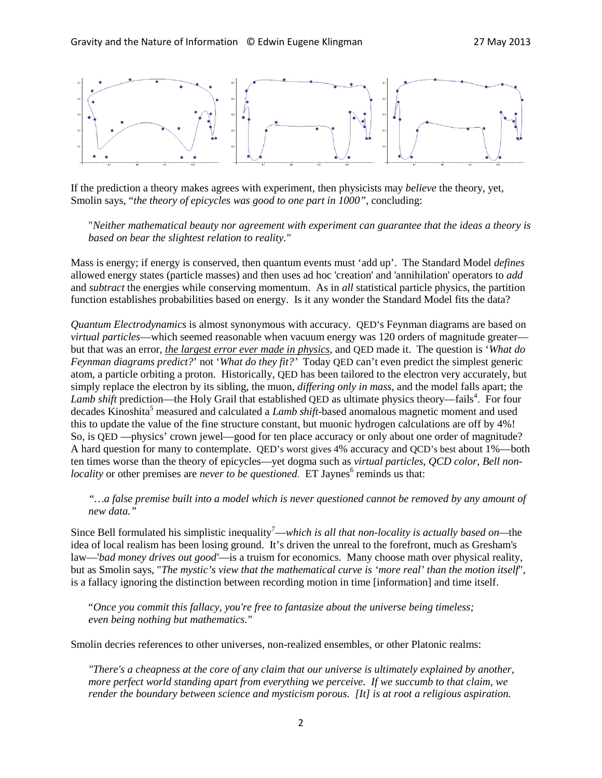

If the prediction a theory makes agrees with experiment, then physicists may *believe* the theory, yet, Smolin says, "*the theory of epicycles was good to one part in 1000"*, concluding:

"*Neither mathematical beauty nor agreement with experiment can guarantee that the ideas a theory is based on bear the slightest relation to reality."*

Mass is energy; if energy is conserved, then quantum events must 'add up'. The Standard Model *defines* allowed energy states (particle masses) and then uses ad hoc 'creation' and 'annihilation' operators to *add* and *subtract* the energies while conserving momentum. As in *all* statistical particle physics, the partition function establishes probabilities based on energy. Is it any wonder the Standard Model fits the data?

*Quantum Electrodynamics* is almost synonymous with accuracy. QED's Feynman diagrams are based on *virtual particles*—which seemed reasonable when vacuum energy was 120 orders of magnitude greater but that was an error, *the largest error ever made in physics*, and QED made it. The question is '*What do Feynman diagrams predict?*' not '*What do they fit?'* Today QED can't even predict the simplest generic atom, a particle orbiting a proton. Historically, QED has been tailored to the electron very accurately, but simply replace the electron by its sibling, the muon, *differing only in mass*, and the model falls apart; the Lamb shift prediction—the Holy Grail that established QED as ultimate physics theory—fails<sup>4</sup>. For four decades Kinoshita <sup>5</sup> measured and calculated a *Lamb shift*-based anomalous magnetic moment and used this to update the value of the fine structure constant, but muonic hydrogen calculations are off by 4%! So, is QED —physics' crown jewel—good for ten place accuracy or only about one order of magnitude? A hard question for many to contemplate. QED's worst gives 4% accuracy and QCD's best about 1%—both ten times worse than the theory of epicycles—yet dogma such as *virtual particles*, *QCD color*, *Bell nonlocality* or other premises are *never to be questioned*. ET Jaynes<sup>6</sup> reminds us that:

*"…a false premise built into a model which is never questioned cannot be removed by any amount of new data."*

Since Bell formulated his simplistic inequality<sup>7</sup>—which is all that non-locality is actually based on—the idea of local realism has been losing ground. It's driven the unreal to the forefront, much as Gresham's law—'*bad money drives out good'*—is a truism for economics. Many choose math over physical reality, but as Smolin says, "*The mystic's view that the mathematical curve is 'more real' than the motion itself*", is a fallacy ignoring the distinction between recording motion in time [information] and time itself.

"*Once you commit this fallacy, you're free to fantasize about the universe being timeless; even being nothing but mathematics."*

Smolin decries references to other universes, non-realized ensembles, or other Platonic realms:

*"There's a cheapness at the core of any claim that our universe is ultimately explained by another, more perfect world standing apart from everything we perceive. If we succumb to that claim, we render the boundary between science and mysticism porous. [It] is at root a religious aspiration.*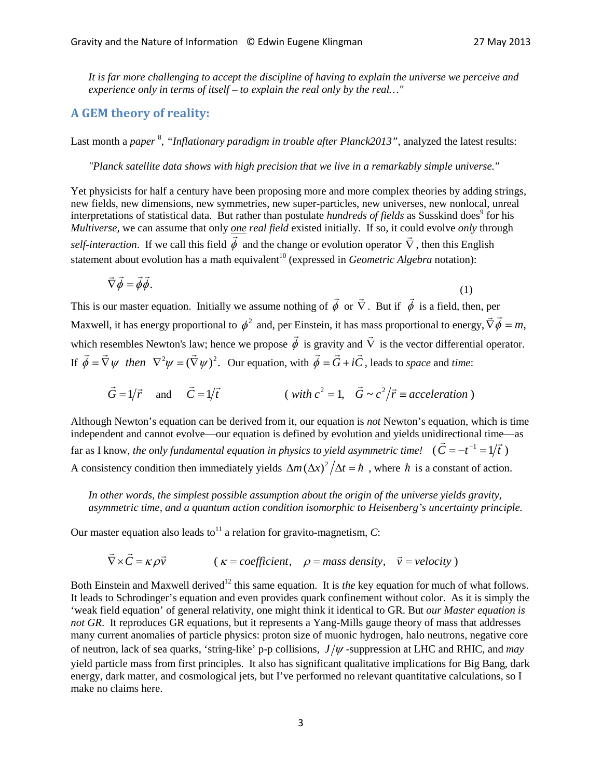*It is far more challenging to accept the discipline of having to explain the universe we perceive and experience only in terms of itself – to explain the real only by the real…"*

# **A GEM theory of reality:**

Last month a *paper* 8 , *"Inflationary paradigm in trouble after Planck2013",* analyzed the latest results:

*"Planck satellite data shows with high precision that we live in a remarkably simple universe."*

Yet physicists for half a century have been proposing more and more complex theories by adding strings, new fields, new dimensions, new symmetries, new super-particles, new universes, new nonlocal, unreal interpretations of statistical data. But rather than postulate *hundreds of fields* as Susskind does<sup>9</sup> for his *Multiverse,* we can assume that only *one real field* existed initially. If so, it could evolve *only* through *self-interaction*. If we call this field  $\phi$  and the change or evolution operator  $\nabla$  $\frac{1}{x}$ , then this English statement about evolution has a math equivalent<sup>10</sup> (expressed in *Geometric Algebra* notation):

$$
\vec{\nabla}\vec{\phi} = \vec{\phi}\vec{\phi}.\tag{1}
$$

This is our master equation. Initially we assume nothing of  $\phi$  $\overline{a}$ or  $\hat{\nabla}$  $\rightarrow$ . But if  $\phi$  $\overline{a}$ is a field, then, per Maxwell, it has energy proportional to  $\phi^2$  and, per Einstein, it has mass proportional to energy,  $\vec{\nabla}\vec{\phi} = m$ , which resembles Newton's law; hence we propose  $\phi$  $\bar{z}$ is gravity and  $\vec{\nabla}$  is the vector differential operator. If  $\vec{\phi} = \vec{\nabla}\psi$  then  $\nabla^2 \psi = (\vec{\nabla}\psi)^2$ . Our equation, with  $\vec{\phi} = \vec{G} + i\vec{C}$ , leads to *space* and *time*:

$$
\vec{G} = 1/\vec{r}
$$
 and  $\vec{C} = 1/\vec{t}$  (with  $c^2 = 1$ ,  $\vec{G} \sim c^2/\vec{r} \equiv acceleration$ )

Although Newton's equation can be derived from it, our equation is *not* Newton's equation, which is time independent and cannot evolve—our equation is defined by evolution and yields unidirectional time—as far as I know, *the only fundamental equation in physics to yield asymmetric time!* ( $\vec{C} = -t^{-1} = 1/\vec{t}$ ) A consistency condition then immediately yields  $\Delta m (\Delta x)^2 / \Delta t = \hbar$ , where  $\hbar$  is a constant of action.

*In other words, the simplest possible assumption about the origin of the universe yields gravity, asymmetric time, and a quantum action condition isomorphic to Heisenberg's uncertainty principle.* 

Our master equation also leads to<sup>11</sup> a relation for gravito-magnetism,  $C$ :

$$
\vec{\nabla} \times \vec{C} = \kappa \rho \vec{v}
$$
 ( $\kappa$  = coefficient,  $\rho$  = mass density,  $\vec{v}$  = velocity)

Both Einstein and Maxwell derived<sup>12</sup> this same equation. It is *the* key equation for much of what follows. It leads to Schrodinger's equation and even provides quark confinement without color. As it is simply the 'weak field equation' of general relativity, one might think it identical to GR. But *our Master equation is not GR*. It reproduces GR equations, but it represents a Yang-Mills gauge theory of mass that addresses many current anomalies of particle physics: proton size of muonic hydrogen, halo neutrons, negative core of neutron, lack of sea quarks, 'string-like' p-p collisions,  $J/\psi$ -suppression at LHC and RHIC, and *may* yield particle mass from first principles. It also has significant qualitative implications for Big Bang, dark energy, dark matter, and cosmological jets, but I've performed no relevant quantitative calculations, so I make no claims here.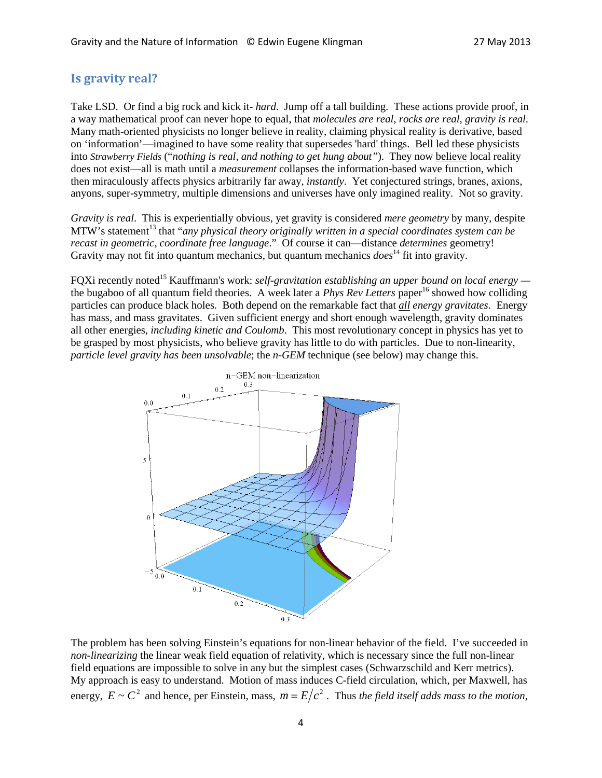## **Is gravity real?**

Take LSD. Or find a big rock and kick it- *hard*. Jump off a tall building. These actions provide proof, in a way mathematical proof can never hope to equal, that *molecules are real*, *rocks are real*, *gravity is real*. Many math-oriented physicists no longer believe in reality, claiming physical reality is derivative, based on 'information'—imagined to have some reality that supersedes 'hard' things. Bell led these physicists into *Strawberry Fields* ("*nothing is real, and nothing to get hung about"*). They now believe local reality does not exist—all is math until a *measurement* collapses the information-based wave function, which then miraculously affects physics arbitrarily far away, *instantly*. Yet conjectured strings, branes, axions, anyons, super-symmetry, multiple dimensions and universes have only imagined reality. Not so gravity.

*Gravity is real*. This is experientially obvious, yet gravity is considered *mere geometry* by many, despite MTW's statement<sup>13</sup> that "*any physical theory originally written in a special coordinates system can be recast in geometric, coordinate free language*." Of course it can—distance *determines* geometry! Gravity may not fit into quantum mechanics, but quantum mechanics *does*<sup>14</sup> fit into gravity.

FQXi recently noted15 Kauffmann's work: *self-gravitation establishing an upper bound on local energy*  the bugaboo of all quantum field theories. A week later a *Phys Rev Letters* paper<sup>16</sup> showed how colliding particles can produce black holes. Both depend on the remarkable fact that *all energy gravitates*. Energy has mass, and mass gravitates. Given sufficient energy and short enough wavelength, gravity dominates all other energies, *including kinetic and Coulomb*. This most revolutionary concept in physics has yet to be grasped by most physicists, who believe gravity has little to do with particles. Due to non-linearity, *particle level gravity has been unsolvable*; the *n-GEM* technique (see below) may change this.



The problem has been solving Einstein's equations for non-linear behavior of the field. I've succeeded in *non-linearizing* the linear weak field equation of relativity, which is necessary since the full non-linear field equations are impossible to solve in any but the simplest cases (Schwarzschild and Kerr metrics). My approach is easy to understand. Motion of mass induces C-field circulation, which, per Maxwell, has energy,  $E \sim C^2$  and hence, per Einstein, mass,  $m = E/c^2$ . Thus *the field itself adds mass to the motion*,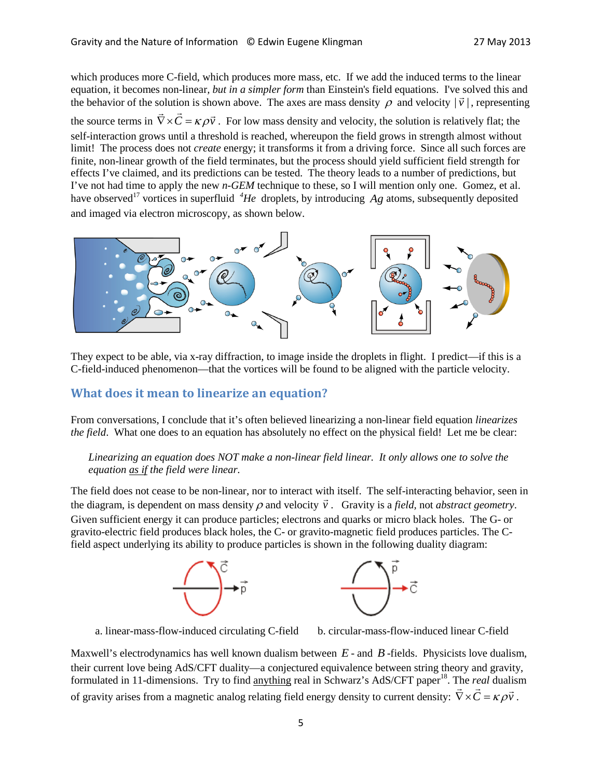which produces more C-field, which produces more mass, etc. If we add the induced terms to the linear equation, it becomes non-linear*, but in a simpler form* than Einstein's field equations. I've solved this and the behavior of the solution is shown above. The axes are mass density  $\rho$  and velocity  $|\vec{v}|$ , representing the behavior of the solution is shown above. The axes are mass density  $\rho$  and velocity  $|\vec{v}|$ , representin the source terms in  $\vec{\nabla} \times \vec{C} = \kappa \rho \vec{v}$ . For low mass density and velocity, the solution is relatively flat; the self-interaction grows until a threshold is reached, whereupon the field grows in strength almost without limit! The process does not *create* energy; it transforms it from a driving force. Since all such forces are finite, non-linear growth of the field terminates, but the process should yield sufficient field strength for effects I've claimed, and its predictions can be tested. The theory leads to a number of predictions, but I've not had time to apply the new *n-GEM* technique to these, so I will mention only one. Gomez, et al. have observed<sup>17</sup> vortices in superfluid <sup>4</sup>He droplets, by introducing Ag atoms, subsequently deposited and imaged via electron microscopy, as shown below.



They expect to be able, via x-ray diffraction, to image inside the droplets in flight. I predict—if this is a C-field-induced phenomenon—that the vortices will be found to be aligned with the particle velocity.

## **What does it mean to linearize an equation?**

From conversations, I conclude that it's often believed linearizing a non-linear field equation *linearizes the field.* What one does to an equation has absolutely no effect on the physical field! Let me be clear:

## *Linearizing an equation does NOT make a non-linear field linear. It only allows one to solve the equation as if the field were linear.*

The field does not cease to be non-linear, nor to interact with itself. The self-interacting behavior, seen in the diagram, is dependent on mass density  $\rho$  and velocity  $\vec{v}$ ์<br>|<br>→ . Gravity is a *field,* not *abstract geometry*. Given sufficient energy it can produce particles; electrons and quarks or micro black holes. The G- or gravito-electric field produces black holes, the C- or gravito-magnetic field produces particles. The Cfield aspect underlying its ability to produce particles is shown in the following duality diagram:



a. linear-mass-flow-induced circulating C-field b. circular-mass-flow-induced linear C-field

Maxwell's electrodynamics has well known dualism between *E* - and *B* -fields. Physicists love dualism, their current love being AdS/CFT duality—a conjectured equivalence between string theory and gravity, formulated in 11-dimensions. Try to find anything real in Schwarz's AdS/CFT paper<sup>18</sup>. The *real* dualism formulated in 11-different stons. The volume any different in Schwarz's AdS/CPT paper. The real dualistical of gravity arises from a magnetic analog relating field energy density to current density:  $\vec{\nabla} \times \vec{C} = \kappa \rho \$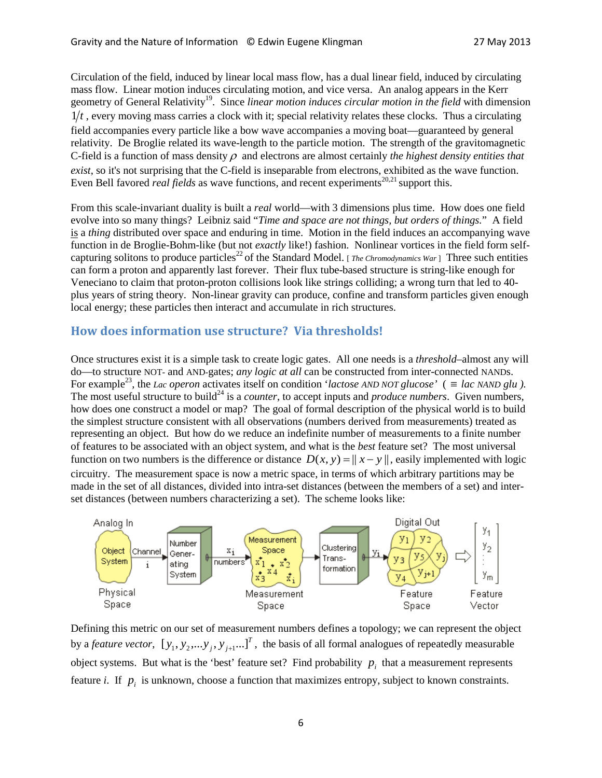Circulation of the field, induced by linear local mass flow, has a dual linear field, induced by circulating mass flow. Linear motion induces circulating motion, and vice versa. An analog appears in the Kerr geometry of General Relativity<sup>19</sup>. Since *linear motion induces circular motion in the field* with dimension  $1/t$ , every moving mass carries a clock with it; special relativity relates these clocks. Thus a circulating field accompanies every particle like a bow wave accompanies a moving boat—guaranteed by general relativity. De Broglie related its wave-length to the particle motion. The strength of the gravitomagnetic C-field is a function of mass density ρ and electrons are almost certainly *the highest density entities that exist*, so it's not surprising that the C-field is inseparable from electrons, exhibited as the wave function. Even Bell favored *real fields* as wave functions, and recent experiments<sup>20,21</sup> support this.

From this scale-invariant duality is built a *real* world—with 3 dimensions plus time. How does one field evolve into so many things? Leibniz said "*Time and space are not things, but orders of things.*" A field is a *thing* distributed over space and enduring in time. Motion in the field induces an accompanying wave function in de Broglie-Bohm-like (but not *exactly* like!) fashion. Nonlinear vortices in the field form selfcapturing solitons to produce particles<sup>22</sup> of the Standard Model. [*The Chromodynamics War* ] Three such entities can form a proton and apparently last forever. Their flux tube-based structure is string-like enough for Veneciano to claim that proton-proton collisions look like strings colliding; a wrong turn that led to 40 plus years of string theory. Non-linear gravity can produce, confine and transform particles given enough local energy; these particles then interact and accumulate in rich structures.

## **How does information use structure? Via thresholds!**

Once structures exist it is a simple task to create logic gates. All one needs is a *threshold*–almost any will do—to structure NOT- and AND-gates; *any logic at all* can be constructed from inter-connected NANDs. For example<sup>23</sup>, the *Lac operon* activates itself on condition '*lactose AND NOT glucose*' ( $\equiv$  *lac NAND glu*). The most useful structure to build<sup>24</sup> is a *counter*, to accept inputs and *produce numbers*. Given numbers, how does one construct a model or map? The goal of formal description of the physical world is to build the simplest structure consistent with all observations (numbers derived from measurements) treated as representing an object. But how do we reduce an indefinite number of measurements to a finite number of features to be associated with an object system, and what is the *best* feature set? The most universal function on two numbers is the difference or distance  $D(x, y) = ||x - y||$ , easily implemented with logic circuitry. The measurement space is now a metric space, in terms of which arbitrary partitions may be made in the set of all distances, divided into intra-set distances (between the members of a set) and interset distances (between numbers characterizing a set). The scheme looks like:



Defining this metric on our set of measurement numbers defines a topology; we can represent the object by a *feature vector*,  $[y_1, y_2,...y_j, y_{j+1}...]^T$ , the basis of all formal analogues of repeatedly measurable object systems. But what is the 'best' feature set? Find probability  $p_i$  that a measurement represents feature *i*. If  $p_i$  is unknown, choose a function that maximizes entropy, subject to known constraints.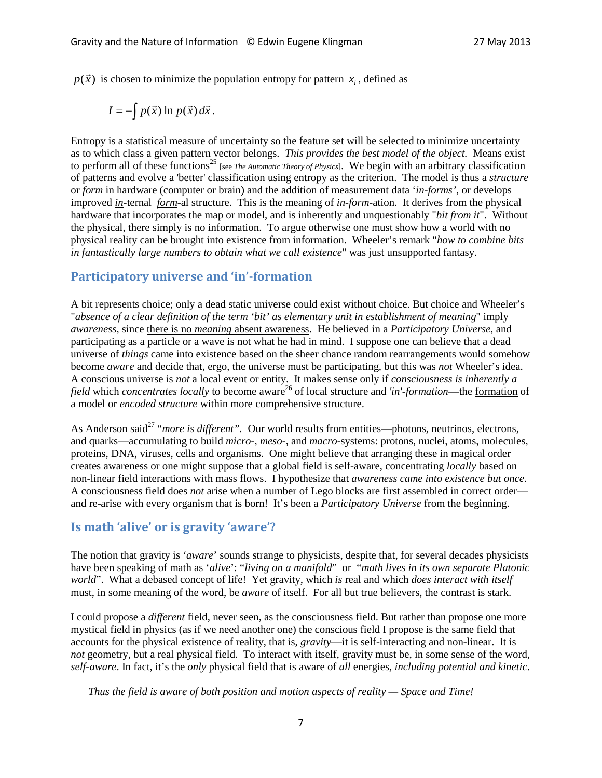$p(\vec{x})$  is chosen to minimize the population entropy for pattern  $x_i$ , defined as

$$
I=-\int p(\vec{x}) \ln p(\vec{x}) d\vec{x}.
$$

Entropy is a statistical measure of uncertainty so the feature set will be selected to minimize uncertainty as to which class a given pattern vector belongs. *This provides the best model of the object.* Means exist to perform all of these functions<sup>25</sup> [see *The Automatic Theory of Physics*]. We begin with an arbitrary classification of patterns and evolve a 'better' classification using entropy as the criterion. The model is thus a *structure* or *form* in hardware (computer or brain) and the addition of measurement data '*in-forms'*, or develops improved *in-*ternal *form-*al structure. This is the meaning of *in-form-*ation. It derives from the physical hardware that incorporates the map or model, and is inherently and unquestionably "*bit from it*". Without the physical, there simply is no information. To argue otherwise one must show how a world with no physical reality can be brought into existence from information. Wheeler's remark "*how to combine bits in fantastically large numbers to obtain what we call existence*" was just unsupported fantasy.

## **Participatory universe and 'in'-formation**

A bit represents choice; only a dead static universe could exist without choice. But choice and Wheeler's "*absence of a clear definition of the term 'bit' as elementary unit in establishment of meaning*" imply *awareness,* since there is no *meaning* absent awareness. He believed in a *Participatory Universe*, and participating as a particle or a wave is not what he had in mind. I suppose one can believe that a dead universe of *things* came into existence based on the sheer chance random rearrangements would somehow become *aware* and decide that, ergo, the universe must be participating, but this was *not* Wheeler's idea. A conscious universe is *not* a local event or entity. It makes sense only if *consciousness is inherently a field* which *concentrates locally* to become aware<sup>26</sup> of local structure and *'in'-formation*—the formation of a model or *encoded structure* within more comprehensive structure.

As Anderson said<sup>27</sup> "*more is different*". Our world results from entities—photons, neutrinos, electrons, and quarks—accumulating to build *micro-*, *meso-*, and *macro-*systems: protons, nuclei, atoms, molecules, proteins, DNA, viruses, cells and organisms. One might believe that arranging these in magical order creates awareness or one might suppose that a global field is self-aware, concentrating *locally* based on non-linear field interactions with mass flows. I hypothesize that *awareness came into existence but once*. A consciousness field does *not* arise when a number of Lego blocks are first assembled in correct order and re-arise with every organism that is born! It's been a *Participatory Universe* from the beginning.

## **Is math 'alive' or is gravity 'aware'?**

The notion that gravity is '*aware*' sounds strange to physicists, despite that, for several decades physicists have been speaking of math as '*alive*': "*living on a manifold*" or "*math lives in its own separate Platonic world*". What a debased concept of life! Yet gravity, which *is* real and which *does interact with itself* must, in some meaning of the word, be *aware* of itself. For all but true believers, the contrast is stark.

I could propose a *different* field, never seen, as the consciousness field. But rather than propose one more mystical field in physics (as if we need another one) the conscious field I propose is the same field that accounts for the physical existence of reality, that is, *gravity*—it is self-interacting and non-linear. It is *not* geometry, but a real physical field. To interact with itself, gravity must be, in some sense of the word, *self-aware*. In fact, it's the *only* physical field that is aware of *all* energies, *including potential and kinetic*.

*Thus the field is aware of both position and motion aspects of reality — Space and Time!*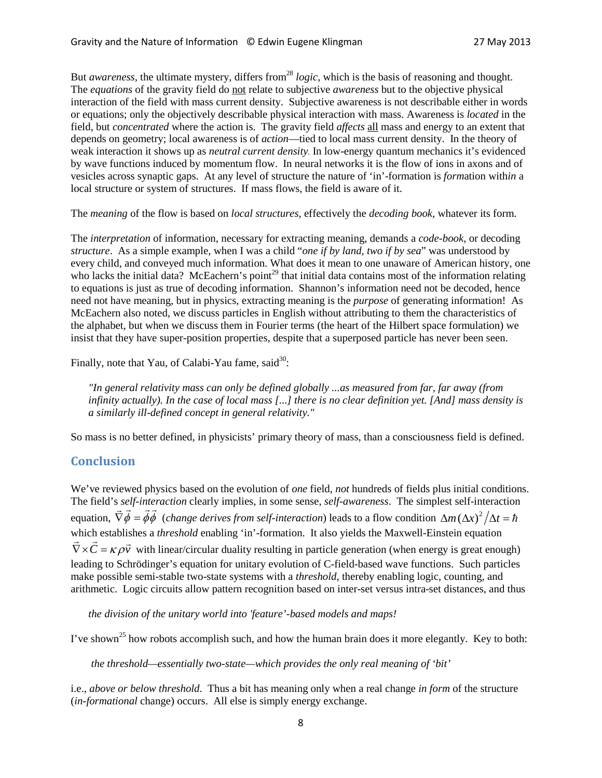But *awareness*, the ultimate mystery, differs from<sup>28</sup> *logic*, which is the basis of reasoning and thought. The *equations* of the gravity field do not relate to subjective *awareness* but to the objective physical interaction of the field with mass current density. Subjective awareness is not describable either in words or equations; only the objectively describable physical interaction with mass. Awareness is *located* in the field, but *concentrated* where the action is. The gravity field *affects* all mass and energy to an extent that depends on geometry; local awareness is of *action*—tied to local mass current density. In the theory of weak interaction it shows up as *neutral current density*. In low-energy quantum mechanics it's evidenced by wave functions induced by momentum flow. In neural networks it is the flow of ions in axons and of vesicles across synaptic gaps. At any level of structure the nature of 'in'-formation is *form*ation with*in* a local structure or system of structures. If mass flows, the field is aware of it.

The *meaning* of the flow is based on *local structures*, effectively the *decoding book*, whatever its form.

The *interpretation* of information, necessary for extracting meaning, demands a *code-book*, or decoding *structure*. As a simple example, when I was a child "*one if by land, two if by sea*" was understood by every child, and conveyed much information. What does it mean to one unaware of American history, one who lacks the initial data? McEachern's point<sup>29</sup> that initial data contains most of the information relating to equations is just as true of decoding information. Shannon's information need not be decoded, hence need not have meaning, but in physics, extracting meaning is the *purpose* of generating information! As McEachern also noted, we discuss particles in English without attributing to them the characteristics of the alphabet, but when we discuss them in Fourier terms (the heart of the Hilbert space formulation) we insist that they have super-position properties, despite that a superposed particle has never been seen.

Finally, note that Yau, of Calabi-Yau fame, said<sup>30</sup>:

*"In general relativity mass can only be defined globally ...as measured from far, far away (from infinity actually). In the case of local mass [...] there is no clear definition yet. [And] mass density is a similarly ill-defined concept in general relativity."*

So mass is no better defined, in physicists' primary theory of mass, than a consciousness field is defined.

## **Conclusion**

We've reviewed physics based on the evolution of *one* field, *not* hundreds of fields plus initial conditions. The field's *self-interaction* clearly implies, in some sense, *self-awareness*. The simplest self-interaction equation,  $\vec{\nabla}\vec{\phi} = \vec{\phi}\vec{\phi}$  (*change derives from self-interaction*) leads to a flow condition  $\Delta m (\Delta x)^2 / \Delta t = \hbar$ which establishes a *threshold* enabling 'in'-formation. It also yields the Maxwell-Einstein equation which establishes a *intestibia* enabling in -formation. It also yields the Maxwell-Enistem equation<br> $\vec{\nabla} \times \vec{C} = \kappa \rho \vec{v}$  with linear/circular duality resulting in particle generation (when energy is great enough) leading to Schrödinger's equation for unitary evolution of C-field-based wave functions. Such particles make possible semi-stable two-state systems with a *threshold*, thereby enabling logic, counting, and arithmetic. Logic circuits allow pattern recognition based on inter-set versus intra-set distances, and thus

*the division of the unitary world into 'feature'-based models and maps!*

I've shown<sup>25</sup> how robots accomplish such, and how the human brain does it more elegantly. Key to both:

*the threshold—essentially two-state—which provides the only real meaning of 'bit'*

i.e., *above or below threshold*. Thus a bit has meaning only when a real change *in form* of the structure (*in-formational* change) occurs. All else is simply energy exchange.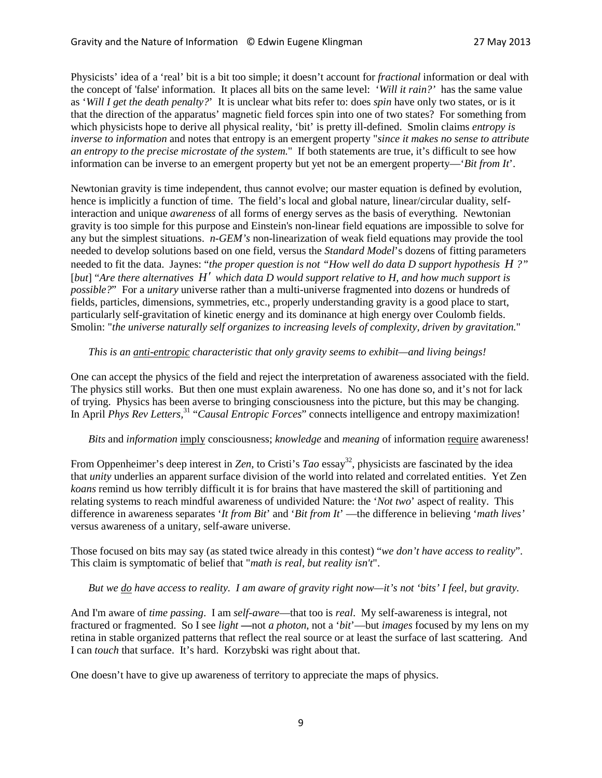Physicists' idea of a 'real' bit is a bit too simple; it doesn't account for *fractional* information or deal with the concept of 'false' information. It places all bits on the same level: '*Will it rain?'* has the same value as '*Will I get the death penalty?*' It is unclear what bits refer to: does *spin* have only two states, or is it that the direction of the apparatus' magnetic field forces spin into one of two states? For something from which physicists hope to derive all physical reality, 'bit' is pretty ill-defined. Smolin claims *entropy is inverse to information* and notes that entropy is an emergent property "*since it makes no sense to attribute an entropy to the precise microstate of the system.*" If both statements are true, it's difficult to see how information can be inverse to an emergent property but yet not be an emergent property—'*Bit from It*'.

Newtonian gravity is time independent, thus cannot evolve; our master equation is defined by evolution, hence is implicitly a function of time. The field's local and global nature, linear/circular duality, selfinteraction and unique *awareness* of all forms of energy serves as the basis of everything. Newtonian gravity is too simple for this purpose and Einstein's non-linear field equations are impossible to solve for any but the simplest situations. *n-GEM's* non-linearization of weak field equations may provide the tool needed to develop solutions based on one field, versus the *Standard Model*'s dozens of fitting parameters needed to fit the data. Jaynes: "*the proper question is not "How well do data D support hypothesis H ?"* [*but*] "*Are there alternatives H*′ *which data D would support relative to H, and how much support is possible?*" For a *unitary* universe rather than a multi-universe fragmented into dozens or hundreds of fields, particles, dimensions, symmetries, etc., properly understanding gravity is a good place to start, particularly self-gravitation of kinetic energy and its dominance at high energy over Coulomb fields. Smolin: "*the universe naturally self organizes to increasing levels of complexity, driven by gravitation.*"

#### *This is an anti-entropic characteristic that only gravity seems to exhibit—and living beings!*

One can accept the physics of the field and reject the interpretation of awareness associated with the field. The physics still works. But then one must explain awareness. No one has done so, and it's not for lack of trying. Physics has been averse to bringing consciousness into the picture, but this may be changing. In April *Phys Rev Letters,* <sup>31</sup> "*Causal Entropic Forces*" connects intelligence and entropy maximization!

#### *Bits* and *information* imply consciousness; *knowledge* and *meaning* of information require awareness!

From Oppenheimer's deep interest in *Zen*, to Cristi's *Tao* essay<sup>32</sup>, physicists are fascinated by the idea that *unity* underlies an apparent surface division of the world into related and correlated entities. Yet Zen *koans* remind us how terribly difficult it is for brains that have mastered the skill of partitioning and relating systems to reach mindful awareness of undivided Nature: the '*Not two*' aspect of reality. This difference in awareness separates '*It from Bit*' and '*Bit from It*' —the difference in believing '*math lives'* versus awareness of a unitary, self-aware universe.

Those focused on bits may say (as stated twice already in this contest) "*we don't have access to reality*". This claim is symptomatic of belief that "*math is real, but reality isn't*".

## *But we do have access to reality. I am aware of gravity right now—it's not 'bits' I feel, but gravity.*

And I'm aware of *time passing*. I am *self-aware*—that too is *real*. My self-awareness is integral, not fractured or fragmented. So I see *light* **—**not *a photon*, not a '*bit*'—but *images* focused by my lens on my retina in stable organized patterns that reflect the real source or at least the surface of last scattering. And I can *touch* that surface. It's hard. Korzybski was right about that.

One doesn't have to give up awareness of territory to appreciate the maps of physics.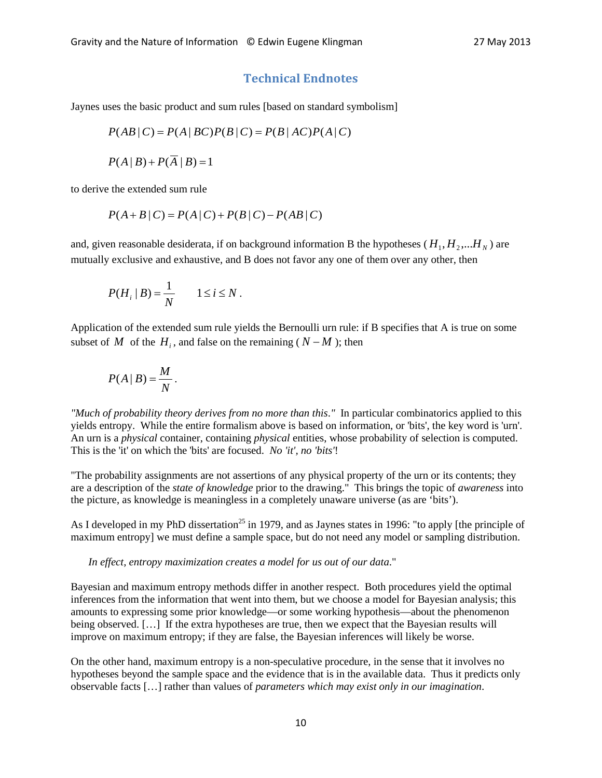## **Technical Endnotes**

Jaynes uses the basic product and sum rules [based on standard symbolism]

$$
P(AB|C) = P(A|BC)P(B|C) = P(B|AC)P(A|C)
$$

$$
P(A | B) + P(\overline{A} | B) = 1
$$

to derive the extended sum rule

$$
P(A + B | C) = P(A | C) + P(B | C) - P(AB | C)
$$

and, given reasonable desiderata, if on background information B the hypotheses ( $H_1, H_2, \ldots, H_N$ ) are mutually exclusive and exhaustive, and B does not favor any one of them over any other, then

$$
P(H_i | B) = \frac{1}{N} \qquad 1 \le i \le N.
$$

Application of the extended sum rule yields the Bernoulli urn rule: if B specifies that A is true on some subset of *M* of the  $H_i$ , and false on the remaining ( $N - M$ ); then

$$
P(A | B) = \frac{M}{N}.
$$

*"Much of probability theory derives from no more than this*.*"* In particular combinatorics applied to this yields entropy. While the entire formalism above is based on information, or 'bits', the key word is 'urn'. An urn is a *physical* container, containing *physical* entities, whose probability of selection is computed. This is the 'it' on which the 'bits' are focused. *No 'it', no 'bits'*!

"The probability assignments are not assertions of any physical property of the urn or its contents; they are a description of the *state of knowledge* prior to the drawing." This brings the topic of *awareness* into the picture, as knowledge is meaningless in a completely unaware universe (as are 'bits').

As I developed in my PhD dissertation<sup>25</sup> in 1979, and as Jaynes states in 1996: "to apply [the principle of maximum entropy] we must define a sample space, but do not need any model or sampling distribution.

#### *In effect, entropy maximization creates a model for us out of our data*."

Bayesian and maximum entropy methods differ in another respect. Both procedures yield the optimal inferences from the information that went into them, but we choose a model for Bayesian analysis; this amounts to expressing some prior knowledge—or some working hypothesis—about the phenomenon being observed. […] If the extra hypotheses are true, then we expect that the Bayesian results will improve on maximum entropy; if they are false, the Bayesian inferences will likely be worse.

On the other hand, maximum entropy is a non-speculative procedure, in the sense that it involves no hypotheses beyond the sample space and the evidence that is in the available data. Thus it predicts only observable facts […] rather than values of *parameters which may exist only in our imagination*.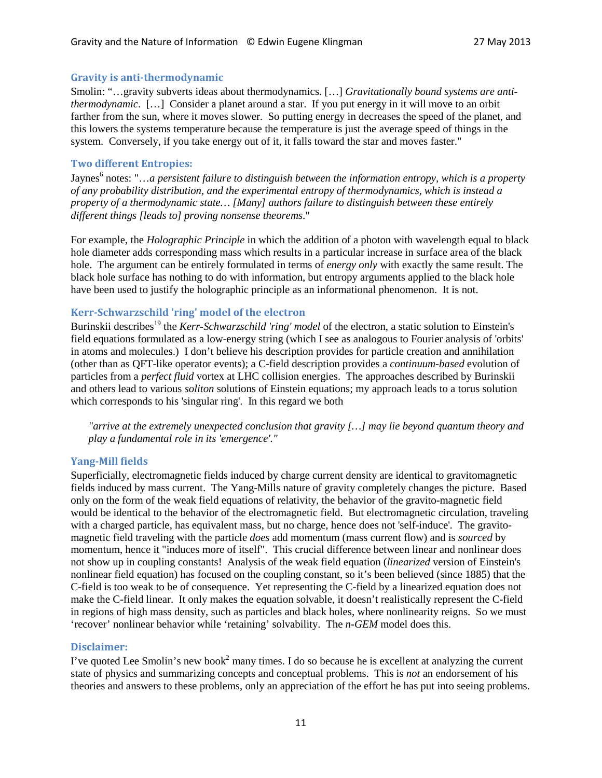#### **Gravity is anti-thermodynamic**

Smolin: "…gravity subverts ideas about thermodynamics. […] *Gravitationally bound systems are antithermodynamic*. […] Consider a planet around a star. If you put energy in it will move to an orbit farther from the sun, where it moves slower. So putting energy in decreases the speed of the planet, and this lowers the systems temperature because the temperature is just the average speed of things in the system. Conversely, if you take energy out of it, it falls toward the star and moves faster."

#### **Two different Entropies:**

Jaynes<sup>6</sup> notes: "...a persistent failure to distinguish between the *information entropy, which is a property of any probability distribution, and the experimental entropy of thermodynamics, which is instead a property of a thermodynamic state… [Many] authors failure to distinguish between these entirely different things [leads to] proving nonsense theorems*."

For example, the *Holographic Principle* in which the addition of a photon with wavelength equal to black hole diameter adds corresponding mass which results in a particular increase in surface area of the black hole. The argument can be entirely formulated in terms of *energy only* with exactly the same result. The black hole surface has nothing to do with information, but entropy arguments applied to the black hole have been used to justify the holographic principle as an informational phenomenon. It is not.

#### **Kerr-Schwarzschild 'ring' model of the electron**

Burinskii describes<sup>19</sup> the *Kerr-Schwarzschild 'ring' model* of the electron, a static solution to Einstein's field equations formulated as a low-energy string (which I see as analogous to Fourier analysis of 'orbits' in atoms and molecules.) I don't believe his description provides for particle creation and annihilation (other than as QFT-like operator events); a C-field description provides a *continuum-based* evolution of particles from a *perfect fluid* vortex at LHC collision energies. The approaches described by Burinskii and others lead to various *soliton* solutions of Einstein equations; my approach leads to a torus solution which corresponds to his 'singular ring'. In this regard we both

*"arrive at the extremely unexpected conclusion that gravity […] may lie beyond quantum theory and play a fundamental role in its 'emergence'."*

## **Yang-Mill fields**

Superficially, electromagnetic fields induced by charge current density are identical to gravitomagnetic fields induced by mass current. The Yang-Mills nature of gravity completely changes the picture. Based only on the form of the weak field equations of relativity, the behavior of the gravito-magnetic field would be identical to the behavior of the electromagnetic field. But electromagnetic circulation, traveling with a charged particle, has equivalent mass, but no charge, hence does not 'self-induce'. The gravitomagnetic field traveling with the particle *does* add momentum (mass current flow) and is *sourced* by momentum, hence it "induces more of itself". This crucial difference between linear and nonlinear does not show up in coupling constants! Analysis of the weak field equation (*linearized* version of Einstein's nonlinear field equation) has focused on the coupling constant, so it's been believed (since 1885) that the C-field is too weak to be of consequence. Yet representing the C-field by a linearized equation does not make the C-field linear. It only makes the equation solvable, it doesn't realistically represent the C-field in regions of high mass density, such as particles and black holes, where nonlinearity reigns. So we must 'recover' nonlinear behavior while 'retaining' solvability. The *n-GEM* model does this.

#### **Disclaimer:**

I've quoted Lee Smolin's new book<sup>2</sup> many times. I do so because he is excellent at analyzing the current state of physics and summarizing concepts and conceptual problems. This is *not* an endorsement of his theories and answers to these problems, only an appreciation of the effort he has put into seeing problems.